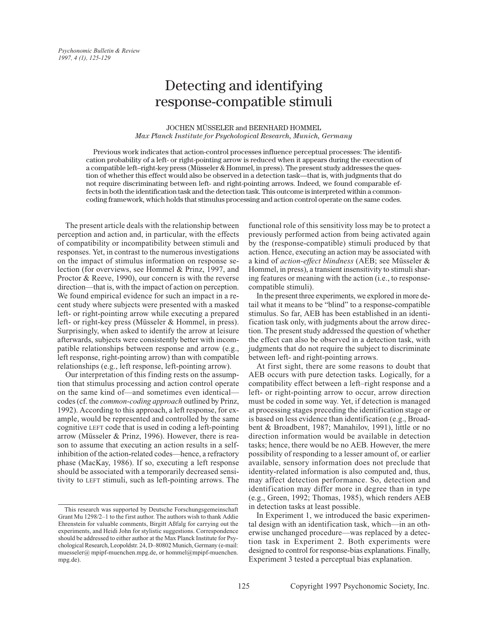# Detecting and identifying response-compatible stimuli

JOCHEN MÜSSELER and BERNHARD HOMMEL *Max Planck Institute for Psychological Research, Munich, Germany*

Previous work indicates that action-control processes influence perceptual processes: The identification probability of a left- or right-pointing arrow is reduced when it appears during the execution of a compatible left–right-key press (Müsseler & Hommel, in press). The present study addresses the question of whether this effect would also be observed in a detection task—that is, with judgments that do not require discriminating between left- and right-pointing arrows. Indeed, we found comparable effects in both the identification task and the detection task. This outcome is interpreted within a commoncoding framework, which holds that stimulus processing and action control operate on the same codes.

The present article deals with the relationship between perception and action and, in particular, with the effects of compatibility or incompatibility between stimuli and responses. Yet, in contrast to the numerous investigations on the impact of stimulus information on response selection (for overviews, see Hommel & Prinz, 1997, and Proctor & Reeve, 1990), our concern is with the reverse direction—that is, with the impact of action on perception. We found empirical evidence for such an impact in a recent study where subjects were presented with a masked left- or right-pointing arrow while executing a prepared left- or right-key press (Müsseler & Hommel, in press). Surprisingly, when asked to identify the arrow at leisure afterwards, subjects were consistently better with incompatible relationships between response and arrow (e.g., left response, right-pointing arrow) than with compatible relationships (e.g., left response, left-pointing arrow).

Our interpretation of this finding rests on the assumption that stimulus processing and action control operate on the same kind of—and sometimes even identical codes (cf. the *common-coding approach* outlined by Prinz, 1992). According to this approach, a left response, for example, would be represented and controlled by the same cognitive LEFT code that is used in coding a left-pointing arrow (Müsseler & Prinz, 1996). However, there is reason to assume that executing an action results in a selfinhibition of the action-related codes—hence, a refractory phase (MacKay, 1986). If so, executing a left response should be associated with a temporarily decreased sensitivity to LEFT stimuli, such as left-pointing arrows. The

functional role of this sensitivity loss may be to protect a previously performed action from being activated again by the (response-compatible) stimuli produced by that action. Hence, executing an action may be associated with a kind of *action-effect blindness* (AEB; see Müsseler & Hommel, in press), a transient insensitivity to stimuli sharing features or meaning with the action (i.e., to responsecompatible stimuli).

In the present three experiments, we explored in more detail what it means to be "blind" to a response-compatible stimulus. So far, AEB has been established in an identification task only, with judgments about the arrow direction. The present study addressed the question of whether the effect can also be observed in a detection task, with judgments that do not require the subject to discriminate between left- and right-pointing arrows.

At first sight, there are some reasons to doubt that AEB occurs with pure detection tasks. Logically, for a compatibility effect between a left–right response and a left- or right-pointing arrow to occur, arrow direction must be coded in some way. Yet, if detection is managed at processing stages preceding the identification stage or is based on less evidence than identification (e.g., Broadbent & Broadbent, 1987; Manahilov, 1991), little or no direction information would be available in detection tasks; hence, there would be no AEB. However, the mere possibility of responding to a lesser amount of, or earlier available, sensory information does not preclude that identity-related information is also computed and, thus, may affect detection performance. So, detection and identification may differ more in degree than in type (e.g., Green, 1992; Thomas, 1985), which renders AEB in detection tasks at least possible.

In Experiment 1, we introduced the basic experimental design with an identification task, which—in an otherwise unchanged procedure—was replaced by a detection task in Experiment 2. Both experiments were designed to control for response-bias explanations. Finally, Experiment 3 tested a perceptual bias explanation.

This research was supported by Deutsche Forschungsgemeinschaft Grant Mu 1298/2–1 to the first author. The authors wish to thank Addie Ehrenstein for valuable comments, Birgitt Aßfalg for carrying out the experiments, and Heidi John for stylistic suggestions. Correspondence should be addressed to either author at the Max Planck Institute for Psychological Research, Leopoldstr. 24, D–80802 Munich, Germany (e-mail: muesseler@ mpipf-muenchen.mpg.de, or hommel@mpipf-muenchen. mpg.de).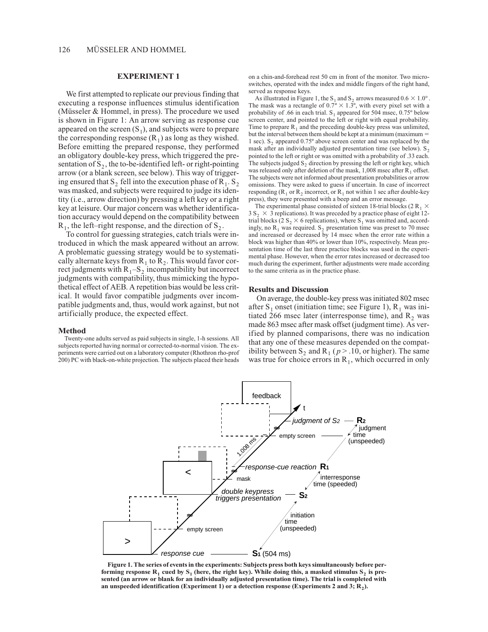# **EXPERIMENT 1**

We first attempted to replicate our previous finding that executing a response influences stimulus identification (Müsseler & Hommel, in press). The procedure we used is shown in Figure 1: An arrow serving as response cue appeared on the screen  $(S_1)$ , and subjects were to prepare the corresponding response  $(R_1)$  as long as they wished. Before emitting the prepared response, they performed an obligatory double-key press, which triggered the presentation of  $S_2$ , the to-be-identified left- or right-pointing arrow (or a blank screen, see below). This way of triggering ensured that  $S_2$  fell into the execution phase of  $R_1$ .  $S_2$ was masked, and subjects were required to judge its identity (i.e., arrow direction) by pressing a left key or a right key at leisure. Our major concern was whether identification accuracy would depend on the compatibility between  $R_1$ , the left–right response, and the direction of  $S_2$ .

To control for guessing strategies, catch trials were introduced in which the mask appeared without an arrow. A problematic guessing strategy would be to systematically alternate keys from  $R_1$  to  $R_2$ . This would favor correct judgments with  $R_1-S_2$  incompatibility but incorrect judgments with compatibility, thus mimicking the hypothetical effect of AEB. A repetition bias would be less critical. It would favor compatible judgments over incompatible judgments and, thus, would work against, but not artificially produce, the expected effect.

on a chin-and-forehead rest 50 cm in front of the monitor. Two microswitches, operated with the index and middle fingers of the right hand, served as response keys.

As illustrated in Figure 1, the S<sub>1</sub> and S<sub>2</sub> arrows measured  $0.6 \times 1.0^{\circ}$ . The mask was a rectangle of  $0.7^{\circ} \times 1.3^{\circ}$ , with every pixel set with a probability of .66 in each trial.  $S_1$  appeared for 504 msec, 0.75° below screen center, and pointed to the left or right with equal probability. Time to prepare  $R_1$  and the preceding double-key press was unlimited, but the interval between them should be kept at a minimum (maximum = 1 sec).  $S_2$  appeared 0.75° above screen center and was replaced by the mask after an individually adjusted presentation time (see below).  $S_2$ pointed to the left or right or was omitted with a probability of .33 each. The subjects judged  $S_2$  direction by pressing the left or right key, which was released only after deletion of the mask,  $1,008$  msec after  $R_1$  offset. The subjects were not informed about presentation probabilities or arrow omissions. They were asked to guess if uncertain. In case of incorrect responding ( $R_1$  or  $R_2$  incorrect, or  $R_1$  not within 1 sec after double-key press), they were presented with a beep and an error message.

The experimental phase consisted of sixteen 18-trial blocks (2 R<sub>1</sub>  $\times$  $3 S_2 \times 3$  replications). It was preceded by a practice phase of eight 12trial blocks (2  $S_2 \times$  6 replications), where  $S_1$  was omitted and, accordingly, no  $R_1$  was required. S<sub>2</sub> presentation time was preset to 70 msec and increased or decreased by 14 msec when the error rate within a block was higher than 40% or lower than 10%, respectively. Mean presentation time of the last three practice blocks was used in the experimental phase. However, when the error rates increased or decreased too much during the experiment, further adjustments were made according to the same criteria as in the practice phase.

### **Results and Discussion**

#### **Method**

Twenty-one adults served as paid subjects in single, 1-h sessions. All subjects reported having normal or corrected-to-normal vision. The experiments were carried out on a laboratory computer (Rhothron rho-prof 200) PC with black-on-white projection. The subjects placed their heads

On average, the double-key press was initiated 802 msec after  $S_1$  onset (initiation time; see Figure 1),  $R_1$  was initiated 266 msec later (interresponse time), and  $R_2$  was made 863 msec after mask offset (judgment time). As verified by planned comparisons, there was no indication that any one of these measures depended on the compatibility between S<sub>2</sub> and R<sub>1</sub> ( $p > 0.10$ , or higher). The same was true for choice errors in  $R_1$ , which occurred in only



**Figure 1. The series of events in the experiments: Subjects press both keys simultaneously before performing response R<sub>1</sub> cued by S<sub>1</sub> (here, the right key). While doing this, a masked stimulus S<sub>2</sub> is presented (an arrow or blank for an individually adjusted presentation time). The trial is completed with an unspeeded identification (Experiment 1) or a detection response (Experiments 2 and 3; R2).**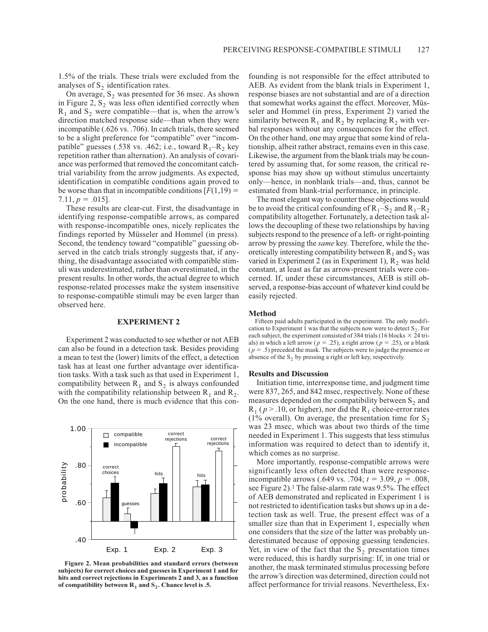1.5% of the trials. These trials were excluded from the analyses of  $S_2$  identification rates.

On average,  $S_2$  was presented for 36 msec. As shown in Figure 2,  $S_2$  was less often identified correctly when  $R_1$  and  $S_2$  were compatible—that is, when the arrow's direction matched response side—than when they were incompatible (.626 vs. .706). In catch trials, there seemed to be a slight preference for "compatible" over "incompatible" guesses (.538 vs. .462; i.e., toward  $R_1-R_2$  key repetition rather than alternation). An analysis of covariance was performed that removed the concomitant catchtrial variability from the arrow judgments. As expected, identification in compatible conditions again proved to be worse than that in incompatible conditions  $[F(1,19) =$  $7.11, p = .015$ .

These results are clear-cut. First, the disadvantage in identifying response-compatible arrows, as compared with response-incompatible ones, nicely replicates the findings reported by Müsseler and Hommel (in press). Second, the tendency toward "compatible" guessing observed in the catch trials strongly suggests that, if anything, the disadvantage associated with compatible stimuli was underestimated, rather than overestimated, in the present results. In other words, the actual degree to which response-related processes make the system insensitive to response-compatible stimuli may be even larger than observed here.

# **EXPERIMENT 2**

Experiment 2 was conducted to see whether or not AEB can also be found in a detection task. Besides providing a mean to test the (lower) limits of the effect, a detection task has at least one further advantage over identification tasks. With a task such as that used in Experiment 1, compatibility between  $R_1$  and  $S_2$  is always confounded with the compatibility relationship between  $R_1$  and  $R_2$ . On the one hand, there is much evidence that this con-



**Figure 2. Mean probabilities and standard errors (between subjects) for correct choices and guesses in Experiment 1 and for hits and correct rejections in Experiments 2 and 3, as a function** of compatibility between  $R_1$  and  $S_2$ . Chance level is .5.

founding is not responsible for the effect attributed to AEB. As evident from the blank trials in Experiment 1, response biases are not substantial and are of a direction that somewhat works against the effect. Moreover, Müsseler and Hommel (in press, Experiment 2) varied the similarity between  $R_1$  and  $R_2$  by replacing  $R_2$  with verbal responses without any consequences for the effect. On the other hand, one may argue that some kind of relationship, albeit rather abstract, remains even in this case. Likewise, the argument from the blank trials may be countered by assuming that, for some reason, the critical response bias may show up without stimulus uncertainty only—hence, in nonblank trials—and, thus, cannot be estimated from blank-trial performance, in principle.

The most elegant way to counter these objections would be to avoid the critical confounding of  $R_1-S_2$  and  $R_1-R_2$ compatibility altogether. Fortunately, a detection task allows the decoupling of these two relationships by having subjects respond to the presence of a left- or right-pointing arrow by pressing the *same* key. Therefore, while the theoretically interesting compatibility between  $R_1$  and  $S_2$  was varied in Experiment 2 (as in Experiment 1),  $R_2$  was held constant, at least as far as arrow-present trials were concerned. If, under these circumstances, AEB is still observed, a response-bias account of whatever kind could be easily rejected.

## **Method**

Fifteen paid adults participated in the experiment. The only modification to Experiment 1 was that the subjects now were to detect  $S_2$ . For each subject, the experiment consisted of 384 trials (16 blocks  $\times$  24 trials) in which a left arrow ( $p = .25$ ), a right arrow ( $p = .25$ ), or a blank  $(p = .5)$  preceded the mask. The subjects were to judge the presence or absence of the  $S_2$  by pressing a right or left key, respectively.

## **Results and Discussion**

Initiation time, interresponse time, and judgment time were 837, 265, and 842 msec, respectively. None of these measures depended on the compatibility between  $S_2$  and  $R_1$  ( $p > 0.10$ , or higher), nor did the  $R_1$  choice-error rates (1% overall). On average, the presentation time for  $S_2$ was 23 msec, which was about two thirds of the time needed in Experiment 1. This suggests that less stimulus information was required to detect than to identify it, which comes as no surprise.

More importantly, response-compatible arrows were significantly less often detected than were responseincompatible arrows (.649 vs. .704;  $t = 3.09$ ,  $p = .008$ , see Figure 2).<sup>1</sup> The false-alarm rate was  $9.5\%$ . The effect of AEB demonstrated and replicated in Experiment 1 is not restricted to identification tasks but shows up in a detection task as well. True, the present effect was of a smaller size than that in Experiment 1, especially when one considers that the size of the latter was probably underestimated because of opposing guessing tendencies. Yet, in view of the fact that the  $S<sub>2</sub>$  presentation times were reduced, this is hardly surprising: If, in one trial or another, the mask terminated stimulus processing before the arrow's direction was determined, direction could not affect performance for trivial reasons. Nevertheless, Ex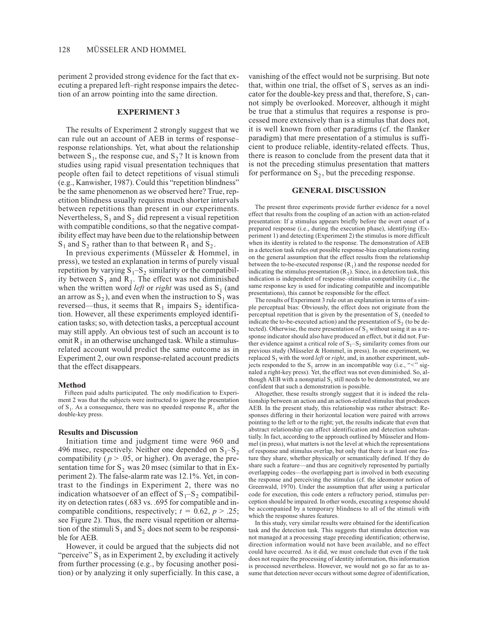periment 2 provided strong evidence for the fact that executing a prepared left–right response impairs the detection of an arrow pointing into the same direction.

# **EXPERIMENT 3**

The results of Experiment 2 strongly suggest that we can rule out an account of AEB in terms of response– response relationships. Yet, what about the relationship between  $S_1$ , the response cue, and  $S_2$ ? It is known from studies using rapid visual presentation techniques that people often fail to detect repetitions of visual stimuli (e.g., Kanwisher, 1987). Could this "repetition blindness" be the same phenomenon as we observed here? True, repetition blindness usually requires much shorter intervals between repetitions than present in our experiments. Nevertheless,  $S_1$  and  $S_2$  did represent a visual repetition with compatible conditions, so that the negative compatibility effect may have been due to the relationship between  $S_1$  and  $S_2$  rather than to that between  $R_1$  and  $S_2$ .

In previous experiments (Müsseler & Hommel, in press), we tested an explanation in terms of purely visual repetition by varying  $S_1-S_2$  similarity or the compatibility between  $S_1$  and  $R_1$ . The effect was not diminished when the written word *left* or *right* was used as  $S_1$  (and an arrow as  $S_2$ ), and even when the instruction to  $S_1$  was reversed—thus, it seems that  $R_1$  impairs  $S_2$  identification. However, all these experiments employed identification tasks; so, with detection tasks, a perceptual account may still apply. An obvious test of such an account is to omit  $R_1$  in an otherwise unchanged task. While a stimulusrelated account would predict the same outcome as in Experiment 2, our own response-related account predicts that the effect disappears.

#### **Method**

Fifteen paid adults participated. The only modification to Experiment 2 was that the subjects were instructed to ignore the presentation of  $S_1$ . As a consequence, there was no speeded response  $R_1$  after the double-key press.

## **Results and Discussion**

Initiation time and judgment time were 960 and 496 msec, respectively. Neither one depended on  $S_1-S_2$ compatibility ( $p > .05$ , or higher). On average, the presentation time for  $S_2$  was 20 msec (similar to that in Experiment 2). The false-alarm rate was 12.1%. Yet, in contrast to the findings in Experiment 2, there was no indication whatsoever of an effect of  $S_1-S_2$  compatibility on detection rates (.683 vs. .695 for compatible and incompatible conditions, respectively;  $t = 0.62$ ,  $p > .25$ ; see Figure 2). Thus, the mere visual repetition or alternation of the stimuli  $S_1$  and  $S_2$  does not seem to be responsible for AEB.

However, it could be argued that the subjects did not "perceive"  $S_1$  as in Experiment 2, by excluding it actively from further processing (e.g., by focusing another position) or by analyzing it only superficially. In this case, a

vanishing of the effect would not be surprising. But note that, within one trial, the offset of  $S_1$  serves as an indicator for the double-key press and that, therefore,  $S_1$  cannot simply be overlooked. Moreover, although it might be true that a stimulus that requires a response is processed more extensively than is a stimulus that does not, it is well known from other paradigms (cf. the flanker paradigm) that mere presentation of a stimulus is sufficient to produce reliable, identity-related effects. Thus, there is reason to conclude from the present data that it is not the preceding stimulus presentation that matters for performance on  $S_2$ , but the preceding response.

# **GENERAL DISCUSSION**

The present three experiments provide further evidence for a novel effect that results from the coupling of an action with an action-related presentation: If a stimulus appears briefly before the overt onset of a prepared response (i.e., during the execution phase), identifying (Experiment 1) and detecting (Experiment 2) the stimulus is more difficult when its identity is related to the response. The demonstration of AEB in a detection task rules out possible response-bias explanations resting on the general assumption that the effect results from the relationship between the to-be-executed response  $(R_1)$  and the response needed for indicating the stimulus presentation  $(R_2)$ . Since, in a detection task, this indication is independent of response–stimulus compatibility (i.e., the same response key is used for indicating compatible and incompatible presentations), this cannot be responsible for the effect.

The results of Experiment 3 rule out an explanation in terms of a simple perceptual bias: Obviously, the effect does not originate from the perceptual repetition that is given by the presentation of  $S_1$  (needed to indicate the to-be-executed action) and the presentation of  $S<sub>2</sub>$  (to be detected). Otherwise, the mere presentation of  $S_1$  without using it as a response indicator should also have produced an effect, but it did not. Further evidence against a critical role of  $S_1-S_2$  similarity comes from our previous study (Müsseler & Hommel, in press). In one experiment, we replaced  $S_1$  with the word *left* or *right*, and, in another experiment, subjects responded to the  $S_1$  arrow in an incompatible way (i.e., "<" signaled a right-key press). Yet, the effect was not even diminished. So, although AEB with a nonspatial  $S<sub>1</sub>$  still needs to be demonstrated, we are confident that such a demonstration is possible.

Altogether, these results strongly suggest that it is indeed the relationship between an action and an action-related stimulus that produces AEB. In the present study, this relationship was rather abstract: Responses differing in their horizontal location were paired with arrows pointing to the left or to the right; yet, the results indicate that even that abstract relationship can affect identification and detection substantially. In fact, according to the approach outlined by Müsseler and Hommel (in press), what matters is not the level at which the representations of response and stimulus overlap, but only that there is at least one feature they share, whether physically or semantically defined. If they do share such a feature—and thus are cognitively represented by partially overlapping codes—the overlapping part is involved in both executing the response and perceiving the stimulus (cf. the ideomotor notion of Greenwald, 1970). Under the assumption that after using a particular code for execution, this code enters a refractory period, stimulus perception should be impaired. In other words, executing a response should be accompanied by a temporary blindness to all of the stimuli with which the response shares features.

In this study, very similar results were obtained for the identification task and the detection task. This suggests that stimulus detection was not managed at a processing stage preceding identification; otherwise, direction information would not have been available, and no effect could have occurred. As it did, we must conclude that even if the task does not require the processing of identity information, this information is processed nevertheless. However, we would not go so far as to assume that detection never occurs without some degree of identification,